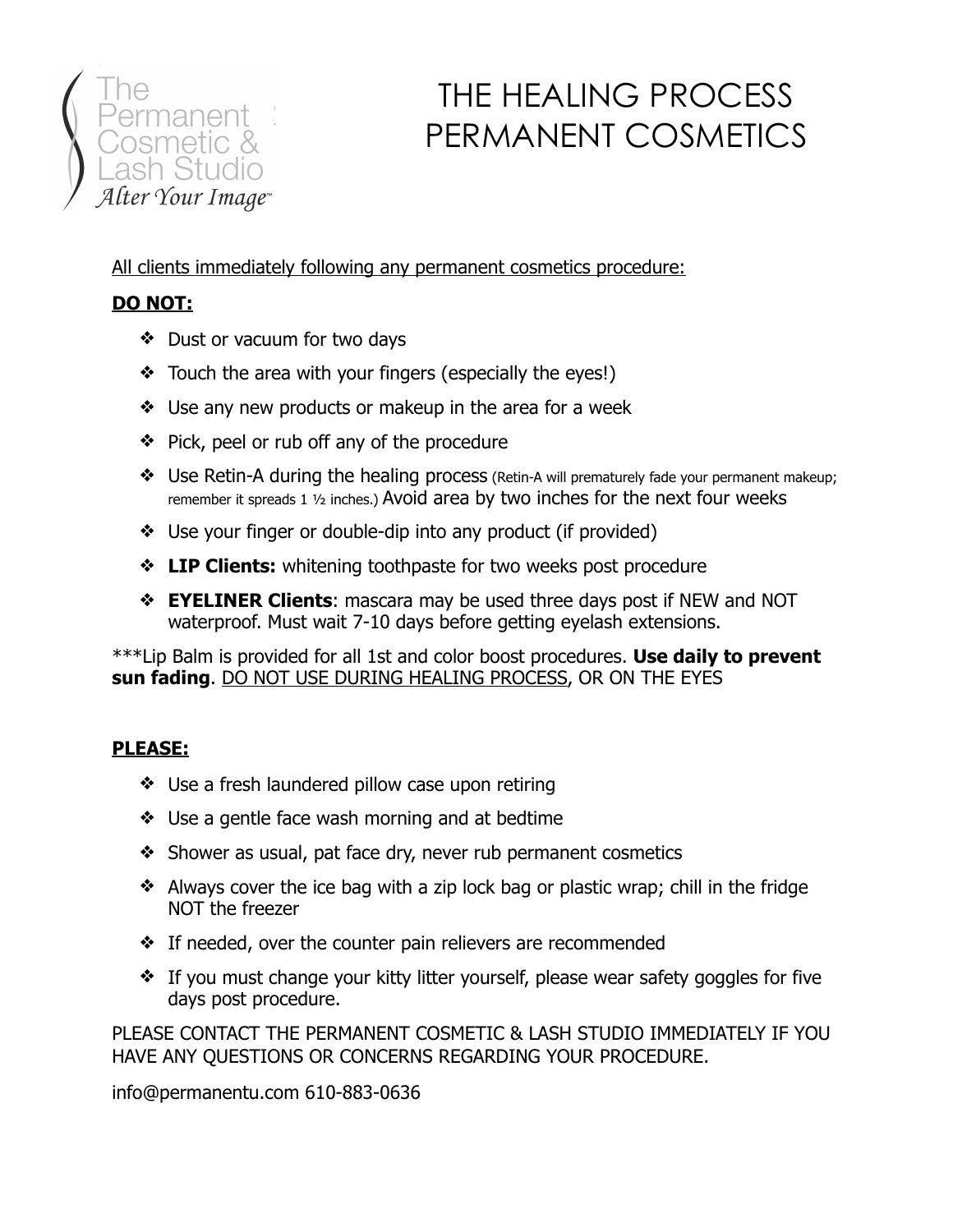

# THE HEALING PROCESS PERMANENT COSMETICS

All clients immediately following any permanent cosmetics procedure:

## **DO NOT:**

- ❖ Dust or vacuum for two days
- ❖ Touch the area with your fingers (especially the eyes!)
- ❖ Use any new products or makeup in the area for a week
- ❖ Pick, peel or rub off any of the procedure
- ❖ Use Retin-A during the healing process (Retin-A will prematurely fade your permanent makeup; remember it spreads 1  $\frac{1}{2}$  inches.) Avoid area by two inches for the next four weeks
- ❖ Use your finger or double-dip into any product (if provided)
- ❖ **LIP Clients:** whitening toothpaste for two weeks post procedure
- ❖ **EYELINER Clients**: mascara may be used three days post if NEW and NOT waterproof. Must wait 7-10 days before getting eyelash extensions.

\*\*\*Lip Balm is provided for all 1st and color boost procedures. **Use daily to prevent sun fading**. DO NOT USE DURING HEALING PROCESS, OR ON THE EYES

## **PLEASE:**

- ❖ Use a fresh laundered pillow case upon retiring
- ❖ Use a gentle face wash morning and at bedtime
- ❖ Shower as usual, pat face dry, never rub permanent cosmetics
- ❖ Always cover the ice bag with a zip lock bag or plastic wrap; chill in the fridge NOT the freezer
- ❖ If needed, over the counter pain relievers are recommended
- ❖ If you must change your kitty litter yourself, please wear safety goggles for five days post procedure.

PLEASE CONTACT THE PERMANENT COSMETIC & LASH STUDIO IMMEDIATELY IF YOU HAVE ANY QUESTIONS OR CONCERNS REGARDING YOUR PROCEDURE.

info@permanentu.com 610-883-0636